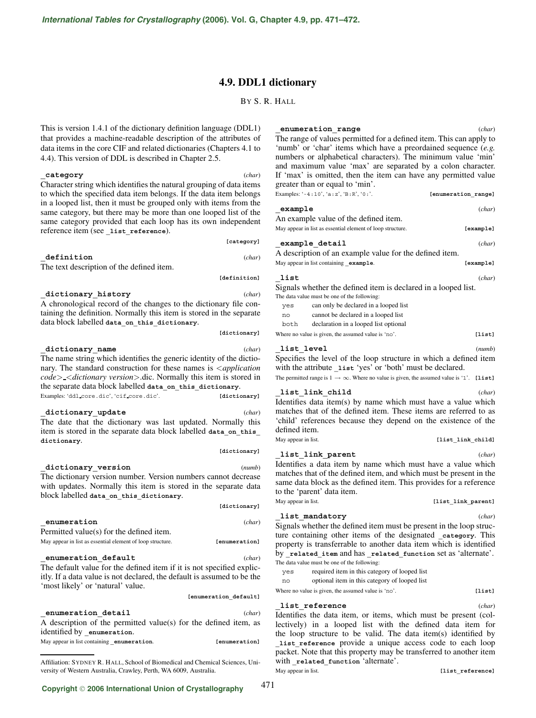# **4.9. DDL1 dictionary**

BY S. R. HALL

This is version 1.4.1 of the dictionary definition language (DDL1) that provides a machine-readable description of the attributes of data items in the core CIF and related dictionaries (Chapters 4.1 to 4.4). This version of DDL is described in Chapter 2.5.

### **\_category** (*char*)

Character string which identifies the natural grouping of data items to which the specified data item belongs. If the data item belongs in a looped list, then it must be grouped only with items from the same category, but there may be more than one looped list of the same category provided that each loop has its own independent reference item (see **\_list\_reference**).

# **\_definition** (*char*)

The text description of the defined item.

**\_dictionary\_history** (*char*) A chronological record of the changes to the dictionary file containing the definition. Normally this item is stored in the separate data block labelled **data\_on\_this\_dictionary**.

**\_dictionary\_name** (*char*)

**[dictionary]**

**[category]**

**[definition]**

The name string which identifies the generic identity of the dictionary. The standard construction for these names is <*application code*> <*dictionary version*>.dic. Normally this item is stored in the separate data block labelled **data\_on\_this\_dictionary**. Examples: 'ddl core.dic', 'cif core.dic'. **[dictionary]** 

**\_dictionary\_update** (*char*) The date that the dictionary was last updated. Normally this item is stored in the separate data block labelled **data\_on\_this\_**

**\_dictionary\_version** (*numb*)

**dictionary**.

**[dictionary]**

471

# The dictionary version number. Version numbers cannot decrease with updates. Normally this item is stored in the separate data block labelled **data\_on\_this\_dictionary**. **[dictionary]**

# **\_enumeration** (*char*) Permitted value(s) for the defined item. May appear in list as essential element of loop structure. **[enumeration]**

**\_enumeration\_default** (*char*)

The default value for the defined item if it is not specified explicitly. If a data value is not declared, the default is assumed to be the 'most likely' or 'natural' value. **[enumeration\_default]**

**\_enumeration\_detail** (*char*)

A description of the permitted value(s) for the defined item, as identified by **\_enumeration**. May appear in list containing **\_enumeration**. **[enumeration]**

# **\_enumeration\_range** (*char*)

The range of values permitted for a defined item. This can apply to 'numb' or 'char' items which have a preordained sequence (*e.g.* numbers or alphabetical characters). The minimum value 'min' and maximum value 'max' are separated by a colon character. If 'max' is omitted, then the item can have any permitted value greater than or equal to 'min'.

| Examples: '-4:10', 'a:z', 'B:R', '0:'. | [enumeration range] |
|----------------------------------------|---------------------|
| example                                | (char)              |

| An example value of the defined item.                      |           |
|------------------------------------------------------------|-----------|
| May appear in list as essential element of loop structure. | [example] |

| example detail |  | (char) |
|----------------|--|--------|
|                |  |        |

A description of an example value for the defined item. May appear in list containing **\_example**. **[example]**

# **\_list** (*char*)

Signals whether the defined item is declared in a looped list.

- The data value must be one of the following:
	- yes can only be declared in a looped list
	- no cannot be declared in a looped list

both declaration in a looped list optional

Where no value is given, the assumed value is 'no'. **[list]** 

| list level |  |  |  |  |  | (numb) |
|------------|--|--|--|--|--|--------|
|            |  |  |  |  |  |        |

Specifies the level of the loop structure in which a defined item with the attribute **\_list** 'yes' or 'both' must be declared.

The permitted range is  $1 \rightarrow \infty$ . Where no value is given, the assumed value is '1'. **[list]** 

# **\_list\_link\_child** (*char*)

Identifies data item(s) by name which must have a value which matches that of the defined item. These items are referred to as 'child' references because they depend on the existence of the defined item. May appear in list. **[list\_link\_child]** 

# **\_list\_link\_parent** (*char*)

Identifies a data item by name which must have a value which matches that of the defined item, and which must be present in the same data block as the defined item. This provides for a reference to the 'parent' data item.

May appear in list. *May appear in list. list\_link\_parent***]** 

**\_list\_mandatory** (*char*) Signals whether the defined item must be present in the loop structure containing other items of the designated **\_category**. This property is transferrable to another data item which is identified by **\_related\_item** and has **\_related\_function** set as 'alternate'.

The data value must be one of the following: yes required item in this category of looped list no optional item in this category of looped list Where no value is given, the assumed value is 'no'. **[list]** 

**\_list\_reference** (*char*) Identifies the data item, or items, which must be present (collectively) in a looped list with the defined data item for the loop structure to be valid. The data item(s) identified by **\_list\_reference** provide a unique access code to each loop packet. Note that this property may be transferred to another item with related function 'alternate'. May appear in list. *COMPERTER (11st\_reference)* 

Affiliation: SYDNEY R. HALL, School of Biomedical and Chemical Sciences, University of Western Australia, Crawley, Perth, WA 6009, Australia.